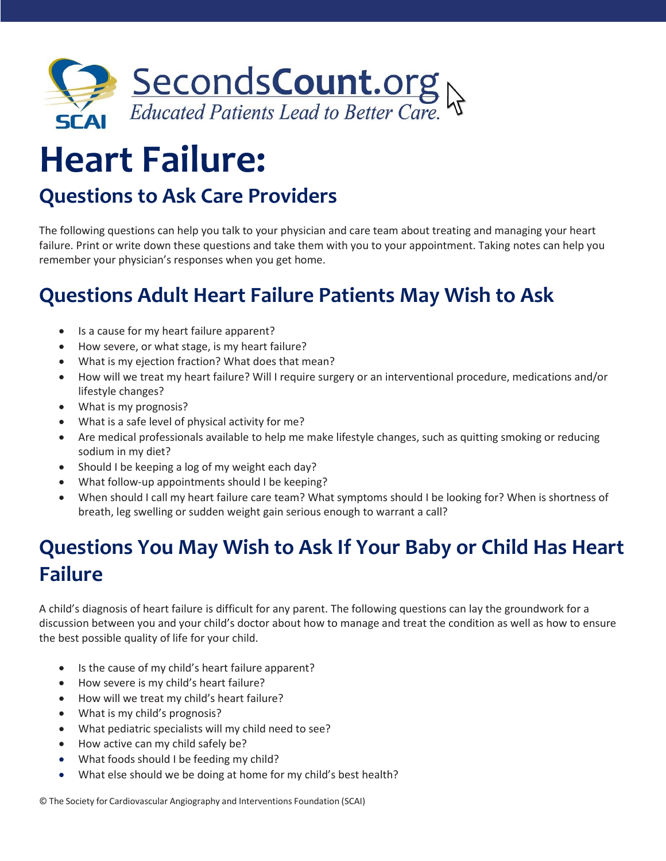

## **Heart Failure:**

## **Questions to Ask Care Providers**

The following questions can help you talk to your physician and care team about treating and managing your heart failure. Print or write down these questions and take them with you to your appointment. Taking notes can help you remember your physician's responses when you get home.

## **Questions Adult Heart Failure Patients May Wish to Ask**

- Is a cause for my heart failure apparent?
- How severe, or what stage, is my heart failure?
- What is my ejection fraction? What does that mean?
- How will we treat my heart failure? Will I require surgery or an interventional procedure, medications and/or lifestyle changes?
- What is my prognosis?
- What is a safe level of physical activity for me?
- Are medical professionals available to help me make lifestyle changes, such as quitting smoking or reducing sodium in my diet?
- Should I be keeping a log of my weight each day?
- What follow-up appointments should I be keeping?
- When should I call my heart failure care team? What symptoms should I be looking for? When is shortness of breath, leg swelling or sudden weight gain serious enough to warrant a call?

## **Questions You May Wish to Ask If Your Baby or Child Has Heart Failure**

A child's diagnosis of heart failure is difficult for any parent. The following questions can lay the groundwork for a discussion between you and your child's doctor about how to manage and treat the condition as well as how to ensure the best possible quality of life for your child.

- Is the cause of my child's heart failure apparent?
- How severe is my child's heart failure?
- How will we treat my child's heart failure?
- What is my child's prognosis?
- What pediatric specialists will my child need to see?
- How active can my child safely be?
- What foods should I be feeding my child?
- What else should we be doing at home for my child's best health?

© The Society for Cardiovascular Angiography and Interventions Foundation (SCAI)